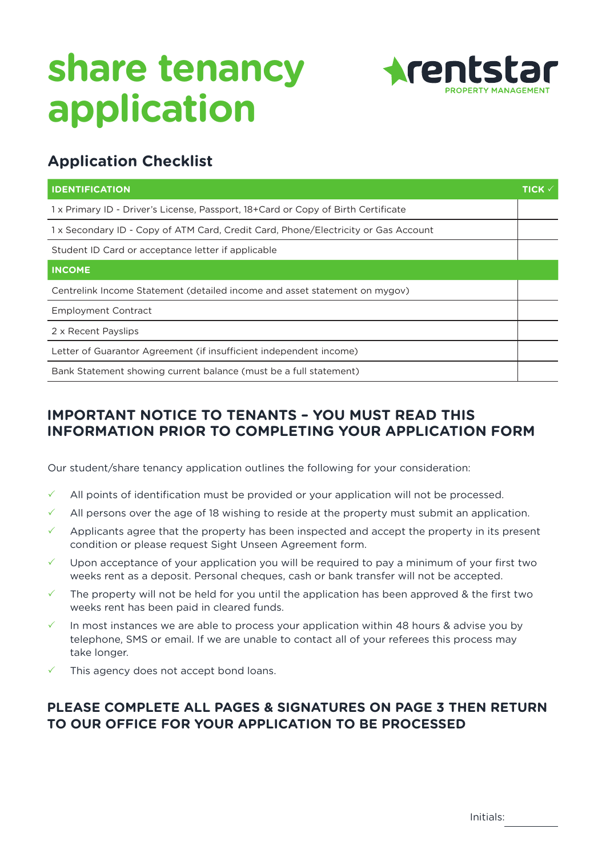

### **Application Checklist**

| <b>IDENTIFICATION</b>                                                             | TICK <sub>*</sub> |
|-----------------------------------------------------------------------------------|-------------------|
| 1x Primary ID - Driver's License, Passport, 18+Card or Copy of Birth Certificate  |                   |
| 1x Secondary ID - Copy of ATM Card, Credit Card, Phone/Electricity or Gas Account |                   |
| Student ID Card or acceptance letter if applicable                                |                   |
| <b>INCOME</b>                                                                     |                   |
| Centrelink Income Statement (detailed income and asset statement on mygov)        |                   |
| <b>Employment Contract</b>                                                        |                   |
| 2 x Recent Payslips                                                               |                   |
| Letter of Guarantor Agreement (if insufficient independent income)                |                   |
| Bank Statement showing current balance (must be a full statement)                 |                   |

#### **IMPORTANT NOTICE TO TENANTS – YOU MUST READ THIS INFORMATION PRIOR TO COMPLETING YOUR APPLICATION FORM**

Our student/share tenancy application outlines the following for your consideration:

- All points of identification must be provided or your application will not be processed.
- $\checkmark$  All persons over the age of 18 wishing to reside at the property must submit an application.
- Applicants agree that the property has been inspected and accept the property in its present condition or please request Sight Unseen Agreement form.
- Upon acceptance of your application you will be required to pay a minimum of your first two weeks rent as a deposit. Personal cheques, cash or bank transfer will not be accepted.
- The property will not be held for you until the application has been approved & the first two weeks rent has been paid in cleared funds.
- In most instances we are able to process your application within 48 hours & advise you by telephone, SMS or email. If we are unable to contact all of your referees this process may take longer.
- This agency does not accept bond loans.

#### **PLEASE COMPLETE ALL PAGES & SIGNATURES ON PAGE 3 THEN RETURN TO OUR OFFICE FOR YOUR APPLICATION TO BE PROCESSED**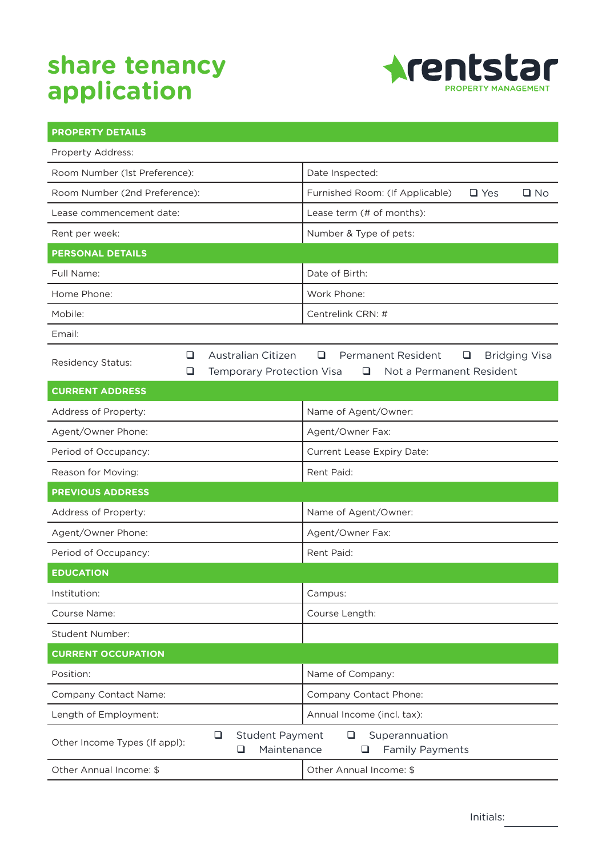

| <b>PROPERTY DETAILS</b>       |        |                                                      |                                                                                              |  |  |
|-------------------------------|--------|------------------------------------------------------|----------------------------------------------------------------------------------------------|--|--|
| Property Address:             |        |                                                      |                                                                                              |  |  |
| Room Number (1st Preference): |        |                                                      | Date Inspected:                                                                              |  |  |
| Room Number (2nd Preference): |        |                                                      | $\Box$ Yes<br>$\square$ No<br>Furnished Room: (If Applicable)                                |  |  |
| Lease commencement date:      |        |                                                      | Lease term (# of months):                                                                    |  |  |
| Rent per week:                |        |                                                      | Number & Type of pets:                                                                       |  |  |
| <b>PERSONAL DETAILS</b>       |        |                                                      |                                                                                              |  |  |
| Full Name:                    |        |                                                      | Date of Birth:                                                                               |  |  |
| Home Phone:                   |        |                                                      | Work Phone:                                                                                  |  |  |
| Mobile:                       |        |                                                      | Centrelink CRN: #                                                                            |  |  |
| Email:                        |        |                                                      |                                                                                              |  |  |
| Residency Status:             | ⊔<br>⊔ | Australian Citizen<br>Temporary Protection Visa      | <b>Permanent Resident</b><br><b>Bridging Visa</b><br>❏<br>⊔<br>Not a Permanent Resident<br>□ |  |  |
| <b>CURRENT ADDRESS</b>        |        |                                                      |                                                                                              |  |  |
| Address of Property:          |        |                                                      | Name of Agent/Owner:                                                                         |  |  |
| Agent/Owner Phone:            |        |                                                      | Agent/Owner Fax:                                                                             |  |  |
| Period of Occupancy:          |        |                                                      | Current Lease Expiry Date:                                                                   |  |  |
| Reason for Moving:            |        |                                                      | Rent Paid:                                                                                   |  |  |
| <b>PREVIOUS ADDRESS</b>       |        |                                                      |                                                                                              |  |  |
| Address of Property:          |        |                                                      | Name of Agent/Owner:                                                                         |  |  |
| Agent/Owner Phone:            |        |                                                      | Agent/Owner Fax:                                                                             |  |  |
| Period of Occupancy:          |        |                                                      | Rent Paid:                                                                                   |  |  |
| <b>EDUCATION</b>              |        |                                                      |                                                                                              |  |  |
| Institution:                  |        |                                                      | Campus:                                                                                      |  |  |
| Course Name:                  |        |                                                      | Course Length:                                                                               |  |  |
| <b>Student Number:</b>        |        |                                                      |                                                                                              |  |  |
| <b>CURRENT OCCUPATION</b>     |        |                                                      |                                                                                              |  |  |
| Position:                     |        |                                                      | Name of Company:                                                                             |  |  |
| Company Contact Name:         |        |                                                      | Company Contact Phone:                                                                       |  |  |
| Length of Employment:         |        |                                                      | Annual Income (incl. tax):                                                                   |  |  |
| Other Income Types (If appl): |        | $\Box$<br><b>Student Payment</b><br>Maintenance<br>❏ | $\Box$<br>Superannuation<br><b>Family Payments</b><br>⊔                                      |  |  |
| Other Annual Income: \$       |        |                                                      | Other Annual Income: \$                                                                      |  |  |

Initials: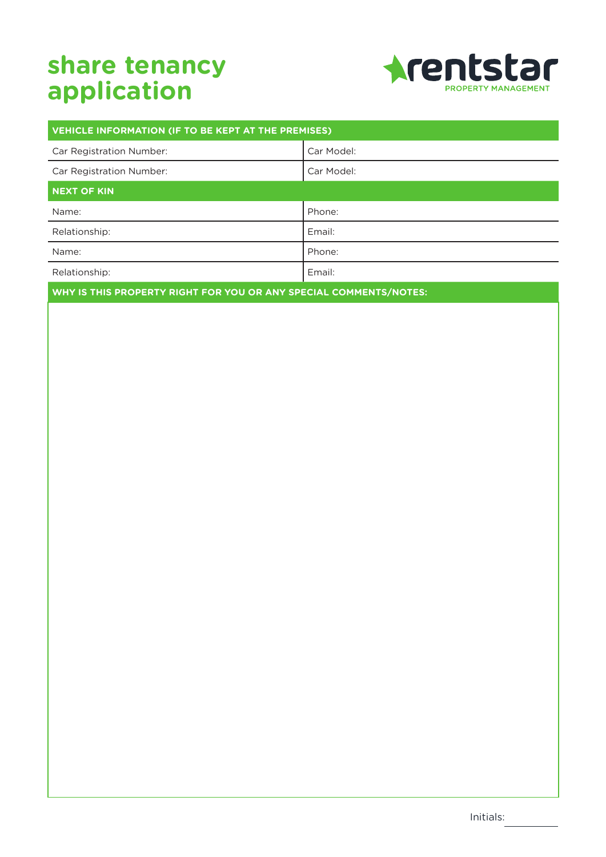

| VEHICLE INFORMATION (IF TO BE KEPT AT THE PREMISES) |            |  |  |  |  |
|-----------------------------------------------------|------------|--|--|--|--|
| Car Registration Number:                            | Car Model: |  |  |  |  |
| Car Registration Number:                            | Car Model: |  |  |  |  |
| NEXT OF KIN                                         |            |  |  |  |  |
| Name:                                               | Phone:     |  |  |  |  |
| Relationship:                                       | Email:     |  |  |  |  |
| Name:                                               | Phone:     |  |  |  |  |
| Relationship:                                       | Email:     |  |  |  |  |
|                                                     |            |  |  |  |  |

**WHY IS THIS PROPERTY RIGHT FOR YOU OR ANY SPECIAL COMMENTS/NOTES:**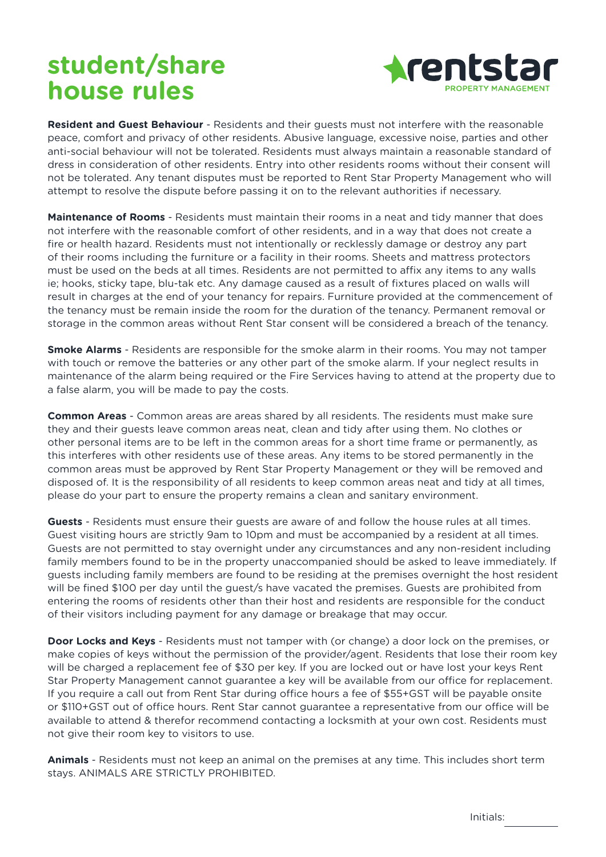# **student/share house rules**



**Resident and Guest Behaviour** - Residents and their guests must not interfere with the reasonable peace, comfort and privacy of other residents. Abusive language, excessive noise, parties and other anti-social behaviour will not be tolerated. Residents must always maintain a reasonable standard of dress in consideration of other residents. Entry into other residents rooms without their consent will not be tolerated. Any tenant disputes must be reported to Rent Star Property Management who will attempt to resolve the dispute before passing it on to the relevant authorities if necessary.

**Maintenance of Rooms** - Residents must maintain their rooms in a neat and tidy manner that does not interfere with the reasonable comfort of other residents, and in a way that does not create a fire or health hazard. Residents must not intentionally or recklessly damage or destroy any part of their rooms including the furniture or a facility in their rooms. Sheets and mattress protectors must be used on the beds at all times. Residents are not permitted to affix any items to any walls ie; hooks, sticky tape, blu-tak etc. Any damage caused as a result of fixtures placed on walls will result in charges at the end of your tenancy for repairs. Furniture provided at the commencement of the tenancy must be remain inside the room for the duration of the tenancy. Permanent removal or storage in the common areas without Rent Star consent will be considered a breach of the tenancy.

**Smoke Alarms** - Residents are responsible for the smoke alarm in their rooms. You may not tamper with touch or remove the batteries or any other part of the smoke alarm. If your neglect results in maintenance of the alarm being required or the Fire Services having to attend at the property due to a false alarm, you will be made to pay the costs.

**Common Areas** - Common areas are areas shared by all residents. The residents must make sure they and their guests leave common areas neat, clean and tidy after using them. No clothes or other personal items are to be left in the common areas for a short time frame or permanently, as this interferes with other residents use of these areas. Any items to be stored permanently in the common areas must be approved by Rent Star Property Management or they will be removed and disposed of. It is the responsibility of all residents to keep common areas neat and tidy at all times, please do your part to ensure the property remains a clean and sanitary environment.

**Guests** - Residents must ensure their guests are aware of and follow the house rules at all times. Guest visiting hours are strictly 9am to 10pm and must be accompanied by a resident at all times. Guests are not permitted to stay overnight under any circumstances and any non-resident including family members found to be in the property unaccompanied should be asked to leave immediately. If guests including family members are found to be residing at the premises overnight the host resident will be fined \$100 per day until the guest/s have vacated the premises. Guests are prohibited from entering the rooms of residents other than their host and residents are responsible for the conduct of their visitors including payment for any damage or breakage that may occur.

**Door Locks and Keys** - Residents must not tamper with (or change) a door lock on the premises, or make copies of keys without the permission of the provider/agent. Residents that lose their room key will be charged a replacement fee of \$30 per key. If you are locked out or have lost your keys Rent Star Property Management cannot guarantee a key will be available from our office for replacement. If you require a call out from Rent Star during office hours a fee of \$55+GST will be payable onsite or \$110+GST out of office hours. Rent Star cannot guarantee a representative from our office will be available to attend & therefor recommend contacting a locksmith at your own cost. Residents must not give their room key to visitors to use.

**Animals** - Residents must not keep an animal on the premises at any time. This includes short term stays. ANIMALS ARE STRICTLY PROHIBITED.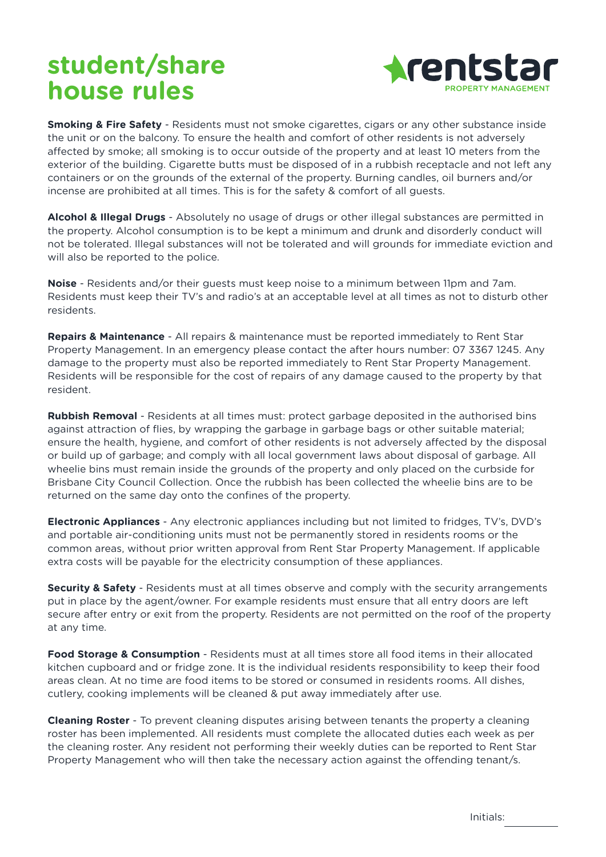# **student/share house rules**



**Smoking & Fire Safety** - Residents must not smoke cigarettes, cigars or any other substance inside the unit or on the balcony. To ensure the health and comfort of other residents is not adversely affected by smoke; all smoking is to occur outside of the property and at least 10 meters from the exterior of the building. Cigarette butts must be disposed of in a rubbish receptacle and not left any containers or on the grounds of the external of the property. Burning candles, oil burners and/or incense are prohibited at all times. This is for the safety & comfort of all guests.

**Alcohol & Illegal Drugs** - Absolutely no usage of drugs or other illegal substances are permitted in the property. Alcohol consumption is to be kept a minimum and drunk and disorderly conduct will not be tolerated. Illegal substances will not be tolerated and will grounds for immediate eviction and will also be reported to the police.

**Noise** - Residents and/or their guests must keep noise to a minimum between 11pm and 7am. Residents must keep their TV's and radio's at an acceptable level at all times as not to disturb other residents.

**Repairs & Maintenance** - All repairs & maintenance must be reported immediately to Rent Star Property Management. In an emergency please contact the after hours number: 07 3367 1245. Any damage to the property must also be reported immediately to Rent Star Property Management. Residents will be responsible for the cost of repairs of any damage caused to the property by that resident.

**Rubbish Removal** - Residents at all times must: protect garbage deposited in the authorised bins against attraction of flies, by wrapping the garbage in garbage bags or other suitable material; ensure the health, hygiene, and comfort of other residents is not adversely affected by the disposal or build up of garbage; and comply with all local government laws about disposal of garbage. All wheelie bins must remain inside the grounds of the property and only placed on the curbside for Brisbane City Council Collection. Once the rubbish has been collected the wheelie bins are to be returned on the same day onto the confines of the property.

**Electronic Appliances** - Any electronic appliances including but not limited to fridges, TV's, DVD's and portable air-conditioning units must not be permanently stored in residents rooms or the common areas, without prior written approval from Rent Star Property Management. If applicable extra costs will be payable for the electricity consumption of these appliances.

**Security & Safety** - Residents must at all times observe and comply with the security arrangements put in place by the agent/owner. For example residents must ensure that all entry doors are left secure after entry or exit from the property. Residents are not permitted on the roof of the property at any time.

**Food Storage & Consumption** - Residents must at all times store all food items in their allocated kitchen cupboard and or fridge zone. It is the individual residents responsibility to keep their food areas clean. At no time are food items to be stored or consumed in residents rooms. All dishes, cutlery, cooking implements will be cleaned & put away immediately after use.

**Cleaning Roster** - To prevent cleaning disputes arising between tenants the property a cleaning roster has been implemented. All residents must complete the allocated duties each week as per the cleaning roster. Any resident not performing their weekly duties can be reported to Rent Star Property Management who will then take the necessary action against the offending tenant/s.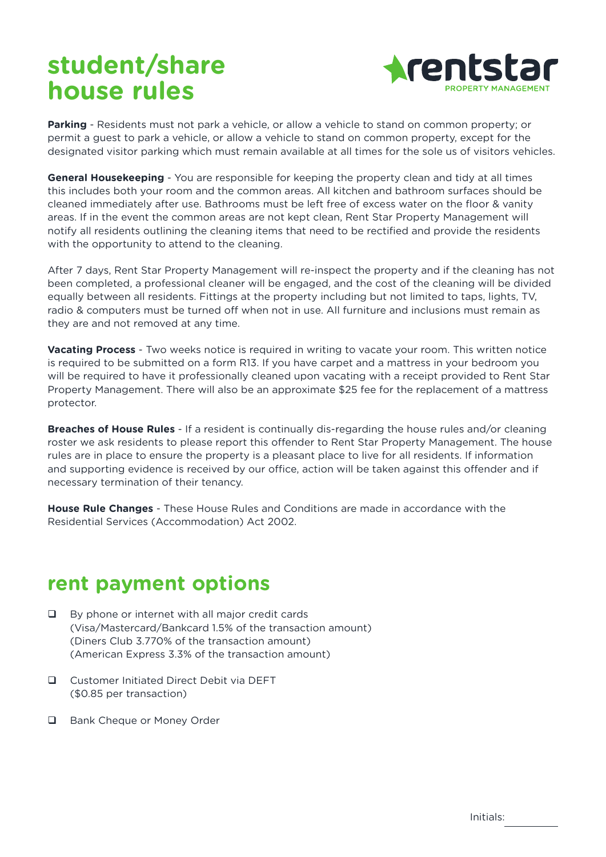# **student/share house rules**



**Parking** - Residents must not park a vehicle, or allow a vehicle to stand on common property; or permit a guest to park a vehicle, or allow a vehicle to stand on common property, except for the designated visitor parking which must remain available at all times for the sole us of visitors vehicles.

**General Housekeeping** - You are responsible for keeping the property clean and tidy at all times this includes both your room and the common areas. All kitchen and bathroom surfaces should be cleaned immediately after use. Bathrooms must be left free of excess water on the floor & vanity areas. If in the event the common areas are not kept clean, Rent Star Property Management will notify all residents outlining the cleaning items that need to be rectified and provide the residents with the opportunity to attend to the cleaning.

After 7 days, Rent Star Property Management will re-inspect the property and if the cleaning has not been completed, a professional cleaner will be engaged, and the cost of the cleaning will be divided equally between all residents. Fittings at the property including but not limited to taps, lights, TV, radio & computers must be turned off when not in use. All furniture and inclusions must remain as they are and not removed at any time.

**Vacating Process** - Two weeks notice is required in writing to vacate your room. This written notice is required to be submitted on a form R13. If you have carpet and a mattress in your bedroom you will be required to have it professionally cleaned upon vacating with a receipt provided to Rent Star Property Management. There will also be an approximate \$25 fee for the replacement of a mattress protector.

**Breaches of House Rules** - If a resident is continually dis-regarding the house rules and/or cleaning roster we ask residents to please report this offender to Rent Star Property Management. The house rules are in place to ensure the property is a pleasant place to live for all residents. If information and supporting evidence is received by our office, action will be taken against this offender and if necessary termination of their tenancy.

**House Rule Changes** - These House Rules and Conditions are made in accordance with the Residential Services (Accommodation) Act 2002.

### **rent payment options**

- $\Box$  By phone or internet with all major credit cards (Visa/Mastercard/Bankcard 1.5% of the transaction amount) (Diners Club 3.770% of the transaction amount) (American Express 3.3% of the transaction amount)
- **Q** Customer Initiated Direct Debit via DEFT (\$0.85 per transaction)
- □ Bank Cheque or Money Order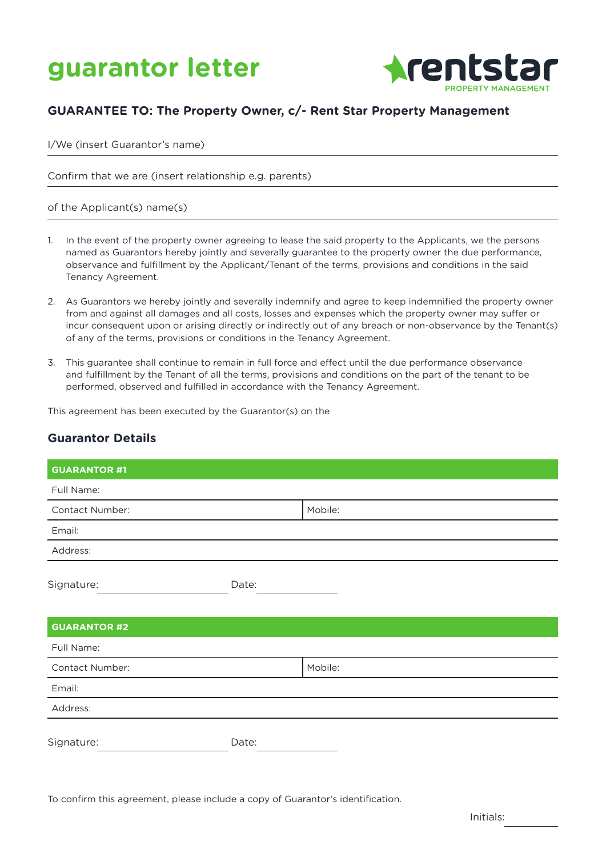



#### **GUARANTEE TO: The Property Owner, c/- Rent Star Property Management**

I/We (insert Guarantor's name)

Confirm that we are (insert relationship e.g. parents)

#### of the Applicant(s) name(s)

- 1. In the event of the property owner agreeing to lease the said property to the Applicants, we the persons named as Guarantors hereby jointly and severally guarantee to the property owner the due performance, observance and fulfillment by the Applicant/Tenant of the terms, provisions and conditions in the said Tenancy Agreement.
- 2. As Guarantors we hereby jointly and severally indemnify and agree to keep indemnified the property owner from and against all damages and all costs, losses and expenses which the property owner may suffer or incur consequent upon or arising directly or indirectly out of any breach or non-observance by the Tenant(s) of any of the terms, provisions or conditions in the Tenancy Agreement.
- 3. This guarantee shall continue to remain in full force and effect until the due performance observance and fulfillment by the Tenant of all the terms, provisions and conditions on the part of the tenant to be performed, observed and fulfilled in accordance with the Tenancy Agreement.

This agreement has been executed by the Guarantor(s) on the

#### **Guarantor Details**

| <b>GUARANTOR #1</b> |       |         |
|---------------------|-------|---------|
| Full Name:          |       |         |
| Contact Number:     |       | Mobile: |
| Email:              |       |         |
| Address:            |       |         |
| Signature:          | Date: |         |
| <b>GUARANTOR #2</b> |       |         |
| Full Name:          |       |         |
| Contact Number:     |       | Mobile: |
| Email:              |       |         |
| Address:            |       |         |
| Signature:          | Date: |         |

To confirm this agreement, please include a copy of Guarantor's identification.

Initials: